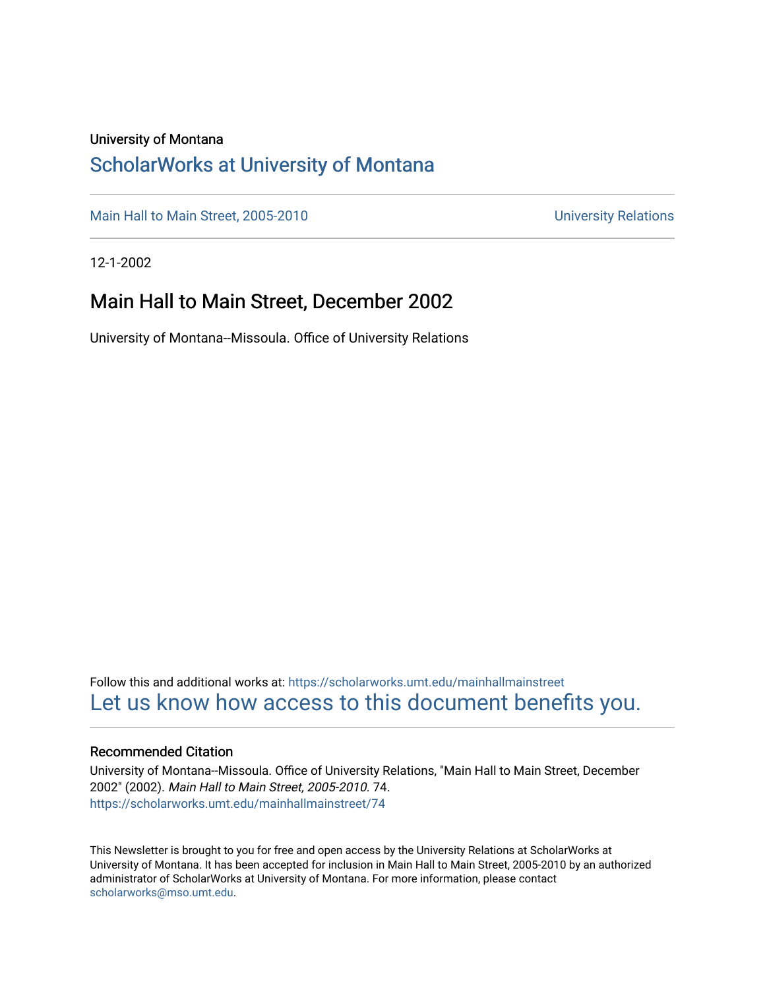#### University of Montana

#### [ScholarWorks at University of Montana](https://scholarworks.umt.edu/)

[Main Hall to Main Street, 2005-2010](https://scholarworks.umt.edu/mainhallmainstreet) Main Hall to Main Street, 2005-2010

12-1-2002

#### Main Hall to Main Street, December 2002

University of Montana--Missoula. Office of University Relations

Follow this and additional works at: [https://scholarworks.umt.edu/mainhallmainstreet](https://scholarworks.umt.edu/mainhallmainstreet?utm_source=scholarworks.umt.edu%2Fmainhallmainstreet%2F74&utm_medium=PDF&utm_campaign=PDFCoverPages) [Let us know how access to this document benefits you.](https://goo.gl/forms/s2rGfXOLzz71qgsB2) 

#### Recommended Citation

University of Montana--Missoula. Office of University Relations, "Main Hall to Main Street, December 2002" (2002). Main Hall to Main Street, 2005-2010. 74. [https://scholarworks.umt.edu/mainhallmainstreet/74](https://scholarworks.umt.edu/mainhallmainstreet/74?utm_source=scholarworks.umt.edu%2Fmainhallmainstreet%2F74&utm_medium=PDF&utm_campaign=PDFCoverPages) 

This Newsletter is brought to you for free and open access by the University Relations at ScholarWorks at University of Montana. It has been accepted for inclusion in Main Hall to Main Street, 2005-2010 by an authorized administrator of ScholarWorks at University of Montana. For more information, please contact [scholarworks@mso.umt.edu.](mailto:scholarworks@mso.umt.edu)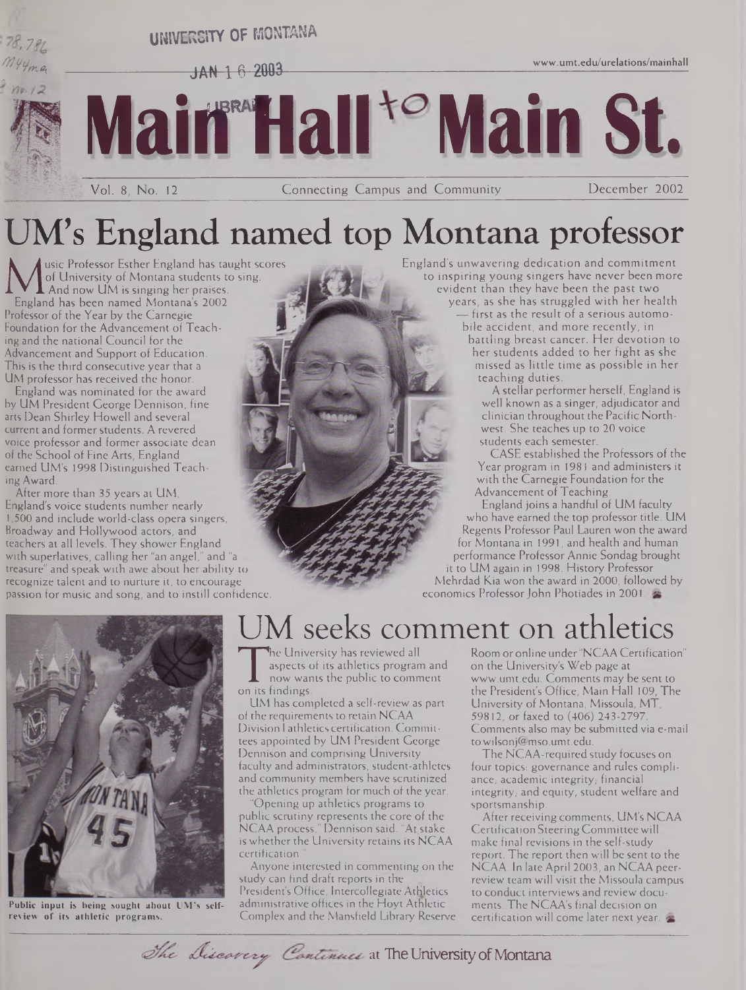# **[www.umt.edu/urelations/mainhall](http://www.umt.edu/urelations/mainhall) <sup>&</sup>gt; 7 UNIVERSITY OF MONTANA**  $JAN$   $16$   $2003$ **MairHall Main St.** Vol. 8, No. 12 Connecting Campus and Community December 2002

UM's England named top Montana professor

**MU** of University of Montana students to<br>England has been named Montana's 2002<br>Professor of the Year by the Carnegie usic Professor Esther England has taught scores of University of Montana students to sing. And now UM is singing her praises. Professor of the Year by the Carnegie Foundation for the Advancement of Teaching and the national Council for the Advancement and Support of Education. This is the third consecutive year that a UM professor has received the honor.

England was nominated for the award by UM President George Dennison, fine arts Dean Shirley Howell and several current and former students. A revered voice professor and former associate dean of the School of Fine Arts, England earned UM's 1998 Distinguished Teaching Award.

After more than 35 years at UM, England's voice students number nearly 1,500 and include world-class opera singers, Broadway and Hollywood actors, and teachers at all levels. They shower England with superlatives, calling her "an angel," and "a treasure" and speak with awe about her ability to recognize talent and to nurture it, to encourage passion for music and song, and to instill confidence. England's unwavering dedication and commitment to inspiring young singers have never been more evident than they have been the past two

> years, as she has struggled with her health — first as the result of a serious automo-

bile accident, and more recently, in battling breast cancer. Her devotion to her students added to her fight as she missed as little time as possible in her teaching duties.

A stellar performer herself, England is well known as a singer, adjudicator and clinician throughout the Pacific Northwest. She teaches up to 20 voice students each semester.

CASE established the Professors of the Year program in 1981 and administers it with the Carnegie Foundation for the Advancement of Teaching.

England joins a handful of UM faculty who have earned the top professor title. UM Regents Professor Paul Lauren won the award for Montana in 1991, and health and human performance Professor Annie Sondag brought it to UM again in 1998. History Professor Mehrdad Kia won the award in 2000, followed by economics Professor John Photiades in 2001.



**Public input is being sought about UM's selfreview of its athletic programs.**

### M seeks comment on athletics

The conversity<br>aspects of its a<br>now wants the<br>UM has completed he University has reviewed all aspects of its athletics program and now wants the public to comment

UM has completed a self-review as part of the requirements to retain NCAA Division <sup>1</sup> athletics certification. Committees appointed by UM President George Dennison and comprising University faculty and administrators, student-athletes and community members have scrutinized the athletics program for much of the year.

"Opening up athletics programs to public scrutiny represents the core of the NCAA process," Dennison said. "At\_stake is whether the University retains its NCAA certification.

Anyone interested in commenting on the study can find draft reports in the President's Office, Intercollegiate Athletics administrative offices in the Hoyt Athletic Complex and the Mansfield Library Reserve

Room or online under "NCAA Certification" on the University's Web page at [www.umt.edu](http://www.umt.edu). Comments may be sent to the President's Office, Main Hall 109, The University of Montana, Missoula, MT, 59812, or faxed to (406) 243-2797. Comments also may be submitted via e-mail to[wilsonj@mso.umt.edu](mailto:wilsonj@mso.umt.edu).

The NCAA-required study focuses on four topics: governance and rules compliance, academic integrity, financial integrity, and equity, student welfare and sportsmanship.

After receiving comments, UM's NCAA Certification SteeringCommittee will make final revisions in the self-study report. The report then will be sent to the NCAA. In late April 2003, an NCAA peerreview team will visit the Missoula campus to conduct interviews and review documents. The NCAA's final decision on certification will come later next year.

The Discavery Continues at The University of Montana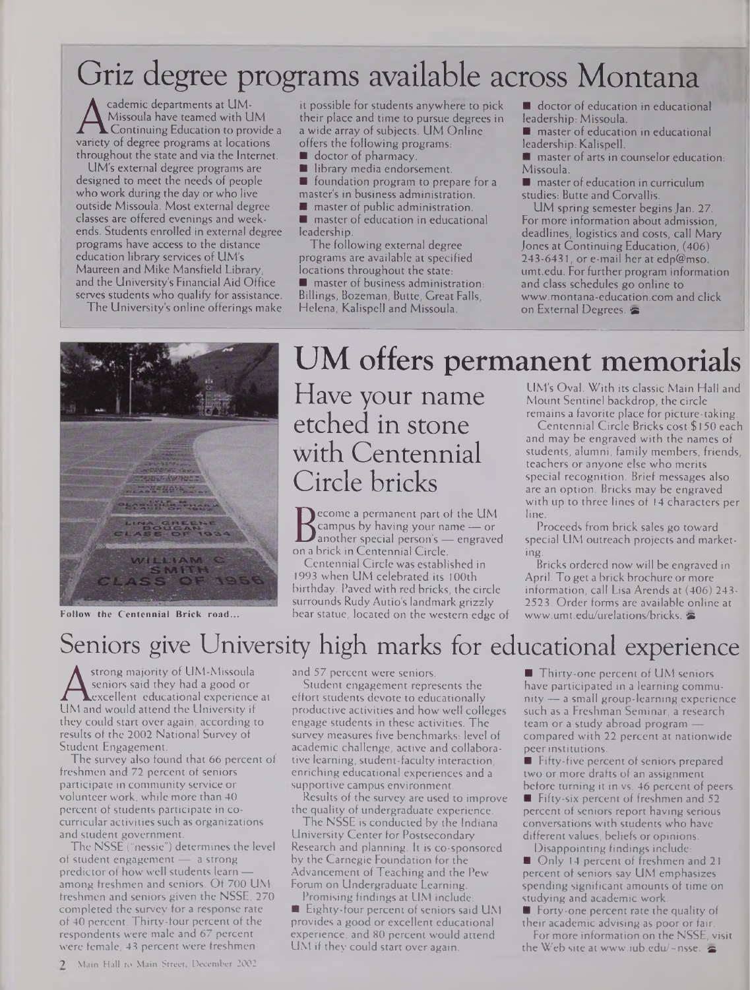## Griz degree programs available across Montana

A Missoula have teamed with UM<br>
Continuing Education to provide a<br>
variety of degree programs at locations<br>
throughout the state and via the Internet cademic departments at UM-Missoula have teamed with UM Continuing Education to provide a throughout the state and via the Internet.

UM's external degree programs are designed to meet the needs of people who work during the day or who live outside Missoula. Most external degree classes are offered evenings and weekends. Students enrolled in external degree programs have access to the distance education library services of UM's Maureen and Mike Mansfield Library, and the University's Financial Aid Office serves students who qualify for assistance. The University's online offerings make

it possible for students anywhere to pick their place and time to pursue degrees in a wide array of subjects. UM Online offers the following programs:

- doctor of pharmacy.
- Ō library media endorsement.

**F** foundation program to prepare for a master's in business administration.

**master of public administration.** 

**naster of education in educational** leadership.

The following external degree programs are available at specified locations throughout the state:

**naster of business administration:** Billings, Bozeman, Butte, Great Falls, Helena, Kalispell and Missoula.

doctor of education in educational leadership: Missoula.

- **naster of education in educational** leadership: Kalispell.
- **master of arts in counselor education:** Missoula.

 $\blacksquare$  master of education in curriculum studies: Butte and Corvallis.

UM spring semester begins Jan. 27. For more information about admission, deadlines, logistics and costs, call Mary Jones at Continuing Education, (406) 243-6431, or e-mail her at edp@mso. <umt.edu>. For further program information and class schedules go online to [www.montana-education.com](http://www.montana-education.com) and click on External Degrees.



**Follow the Centennial Brick road...**

## UM offers permanent memorials

Have your name etched in stone with Centennial Circle bricks

Danother special person's — eng<br>on a brick in Centennial Circle.<br>Contennial Circle und Circle. ecome a permanent part of the UM campus by having your name — or another special person's - engraved

Centennial Circle was established in 1993 when UM celebrated its 100th birthday. Paved with red bricks, the circle surrounds Rudy Autio's landmark grizzly bear statue, located on the western edge of

LIM's Oval. With its classic Main Hall and Mount Sentinel backdrop, the circle remains a favorite place for picture-taking.

Centennial Circle Bricks cost \$150 each and may be engraved with the names of students, alumni, family members, friends, teachers or anyone else who merits special recognition. Brief messages also are an option. Bricks may be engraved with up to three lines of 14 characters per line.

Proceeds from brick sales go toward special UM outreach projects and marketing.

Bricks ordered now will be engraved in April. To get a brick brochure or more information, call Lisa Arends at (406) 243- 2523. Order forms are available online at [www.umt.edu/urelations/bricks](http://www.umt.edu/urelations/bricks).

### Seniors give University high marks for educational experience

Seniors said they had a good or<br>Lexcellent educational experience at<br>UM and would attend the University if<br>they could start over again, according to strong majority of UM-Missoula seniors said they had a good or .excellent educational experience at they could start over again, according to results of the 2002 National Survey of Student Engagement.

The survey also found that 66 percent of freshmen and 72 percent of seniors participate in community service or volunteer work, while more than 40 percent of students participate in cocurricular activities such as organizations and student government.

The NSSE ("nessie") determines the level of student engagement — a strong predictor of how well students learn among freshmen and seniors. Of 700 UM freshmen and seniors given the NSSE, 270 completed the survey for a response rate of 40 percent. Thirty-four percent of the respondents were male and 67 percent were female, 43 percent were freshmen

and 57 percent were seniors.

Student engagement represents the effort students devote to educationally productive activities and how well colleges engage students in these activities. The survey measures five benchmarks: level of academic challenge, active and collaborative learning, student-faculty interaction, enriching educational experiences and a supportive campus environment.

Results of the survey are used to improve the quality of undergraduate experience.

The NSSE is conducted by the Indiana University Center for Postsecondary Research and planning. It is co-sponsored by the Carnegie Foundation for the Advancement of Teaching and the Pew Forum on Undergraduate Learning.

Promising findings at UM include: Eighty-four percent of seniors said UM provides a good or excellent educational experience, and 80 percent would attend UM if they could start over again.

Thirty-one percent of UM seniors have participated in a learning community— a small group-learning experience such as a Freshman Seminar, a research team or a study abroad program compared with 22 percent at nationwide peerinstitutions.

Fifty-five percent of seniors prepared two or more drafts of an assignment before turning it in vs. 46 percent of peers.

**Fifty-six percent of freshmen and 52** percent of seniors report having serious conversations with students who have different values, beliefs or opinions.

Disappointing findings include: Only 14 percent of freshmen and 21 percent of seniors say UM emphasizes spending significant amounts of time on studying and academic work.

Forty-one percent rate the quality of their academic advising as poor or fair.

For more information on the NSSE, visit the Web site at www.iub.edu/~nsse.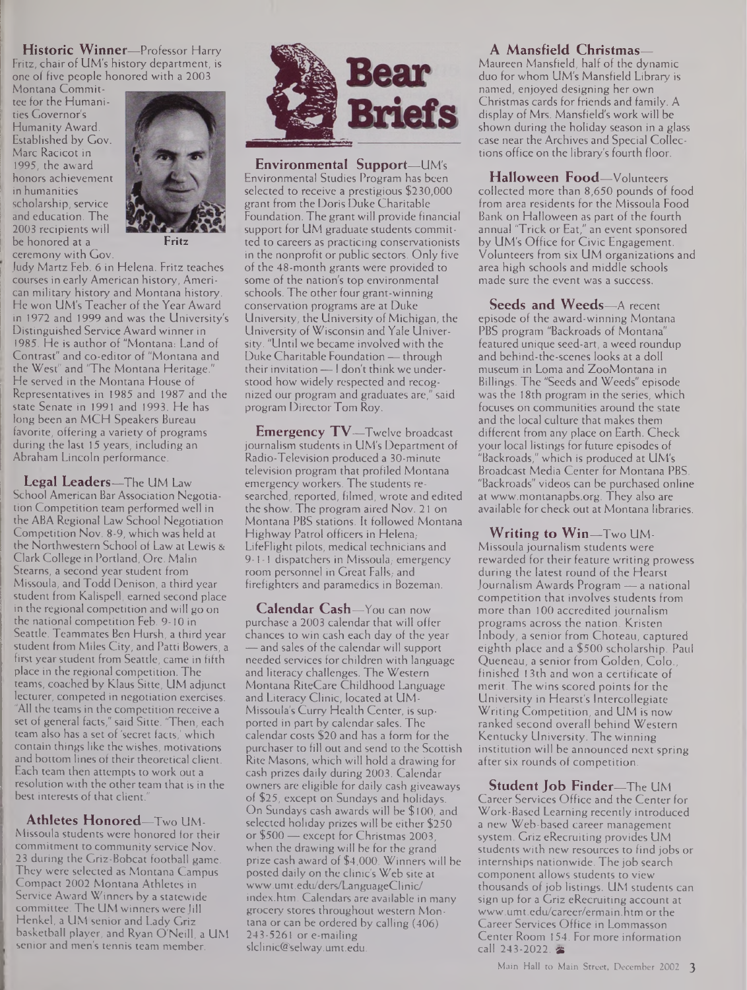**Historic Winner—**Professor Harry Fritz, chair of UM's history department, is one of five people honored with a 2003

Montana Committee for the Humanities Governor's Humanity Award. Established by Gov. Marc Racicot in 1995, the award honors achievement in humanities scholarship, service and education. The 2003 recipients will be honored at a ceremony with Gov.



**Fritz**

Judy Martz Feb. 6 in Helena. Fritz teaches courses in early American history, American military history and Montana history. He won UM's Teacher of the Year Award in 1972 and 1999 and was the University's Distinguished Service Award winner in 1985. He is author of "Montana: Land of Contrast" and co-editor of "Montana and the West" and 'The Montana Heritage." He served in the Montana House of Representatives in 1985 and 1987 and the state Senate in 1991 and 1993. He has long been an MCH Speakers Bureau favorite, offering a variety of programs during the last 15 years, including an Abraham Lincoln performance.

**Legal Leaders—**The UM Law School American Bar Association Negotiation Competition team performed well in the ABA Regional Law School Negotiation Competition Nov. 8-9, which was held at the Northwestern School of Law at Lewis & Clark College in Portland, Ore. Malin Stearns, a second year student from Missoula, and Todd Denison, a third year student from Kalispell, earned second place in the regional competition and will go on the national competition Feb. 9-10 in Seattle. Teammates Ben Hursh, a third year student from Miles City, and Patti Bowers, a first year student from Seattle, came in fifth place in the regional competition. The teams, coached by Klaus Sitte, UM adjunct lecturer, competed in negotiation exercises. "All the teams in the competition receive a set of general facts," said Sitte. 'Then, each team also has a set of 'secret facts,' which contain things like the wishes, motivations and bottom lines of their theoretical client. Each team then attempts to work out a resolution with the other team that is in the best interests of that client.

**Athletes Honored—**Two UM-Missoula students were honored for their commitment to community service Nov. 23 during the Griz-Bobcat football game. They were selected as Montana Campus Compact 2002 Montana Athletes in Service Award Winners by a statewide committee. The UM winners were Jill Henkel, a UM senior and Lady Griz basketball player, and Ryan O'Neill, a UM senior and men's tennis team member.



**Environmental Support—**UM's Environmental Studies Program has been selected to receive a prestigious \$230,000 grant from the Doris Duke Charitable Foundation. The grant will provide financial support for UM graduate students committed to careers as practicing conservationists in the nonprofit or public sectors. Only five of the 48-month grants were provided to some of the nation's top environmental schools. The other four grant-winning conservation programs are at Duke University, the University of Michigan, the University of Wisconsin and Yale University. "Until we became involved with the Duke Charitable Foundation — through their invitation— <sup>I</sup> don't think we understood how widely respected and recognized our program and graduates are," said program Director Tom Roy.

**Emergency TV—**Twelve broadcast journalism students in UM's Department of Radio-Television produced a 30-minute television program that profiled Montana emergency workers. The students researched, reported, filmed, wrote and edited the show. The program aired Nov. 21 on Montana PBS stations. It followed Montana Highway Patrol officers in Helena,- LifeFlight pilots, medical technicians and 9-1-1 dispatchers in Missoula, emergency room personnel in Great Falls, and firefighters and paramedics in Bozeman.

**Calendar Cash—**You can now purchase a 2003 calendar that will offer chances to win cash each day of the year — and sales of the calendar will support needed services for children with language and literacy challenges. The Western Montana RiteCare Childhood Language and Literacy Clinic, located at UM-Missoula's Curry Health Center, is supported in part by calendar sales. The calendar costs \$20 and has a form for the purchaser to fill out and send to the Scottish Rite Masons, which will hold a drawing for cash prizes daily during 2003. Calendar owners are eligible for daily cash giveaways of \$25, except on Sundays and holidays. On Sundays cash awards will be \$ 100, and selected holiday prizes will be either \$250 or \$500 — except for Christmas 2003, when the drawing will be for the grand prize cash award of \$4,000. Winners will be posted daily on the clinic's Web site at [www.umt.edu/ders/LanguageClinic/](http://www.umt.edu/ders/LanguageClinic/) index.htm. Calendars are available in many grocery stores throughout western Montana or can be ordered by calling (406) 243-5261 ore-mailing [slclinic@selway.umt.edu](mailto:slclinic@selway.umt.edu).

**A Mansfield Christmas—**

Maureen Mansfield, half of the dynamic duo for whom UM's Mansfield Library is named, enjoyed designing her own Christmas cards for friends and family. A display of Mrs. Mansfield's work will be shown during the holiday season in a glass case near the Archives and Special Collections office on the library's fourth floor.

**Halloween Food—**Volunteers collected more than 8,650 pounds of food from area residents for the Missoula Food Bank on Halloween as part of the fourth annual 'Trick or Eat," an event sponsored by UM's Office for Civic Engagement. Volunteers from six UM organizations and area high schools and middle schools made sure the event was a success.

**Seeds and Weeds—**A recent episode of the award-winning Montana PBS program "Backroads of Montana" featured unique seed-art, a weed roundup and behind-the-scenes looks at a doll museum in Loma and ZooMontana in Billings. The "Seeds and Weeds" episode was the 18th program in the series, which focuses on communities around the state and the local culture that makes them different from any place on Earth. Check your local listings for future episodes of "Backroads," which is produced at UM's Broadcast Media Center for Montana PBS. "Backroads" videos can be purchased online at [www.montanapbs.org](http://www.montanapbs.org). They also are available for check out at Montana libraries.

**Writing to Win—**Two UM-Missoula journalism students were rewarded for their feature writing prowess during the latest round of the Hearst Journalism Awards Program — a national competition that involves students from more than 100 accredited journalism programs across the nation. Kristen Inbody, a senior from Choteau, captured eighth place and a \$500 scholarship. Paul Queneau, a senior from Golden, Colo., finished 13th and won a certificate of merit. The wins scored points for the University in Hearst's Intercollegiate Writing Competition, and UM is now ranked second overall behind Western Kentucky University. The winning institution will be announced next spring after six rounds of competition.

**Student Job Finder—**The UM Career Services Office and the Center for Work-Based Learning recently introduced a new Web-based career management system. Griz eRecruiting provides UM students with new resources to find jobs or internships nationwide. The job search component allows students to view thousands of job listings. UM students can sign up for a Griz eRecruiting account at [www.umt.edu/career/ermain.htm](http://www.umt.edu/career/ermain.htm) orthe Career Services Office in Lommasson Center Room 154. For more information call 243-2022.